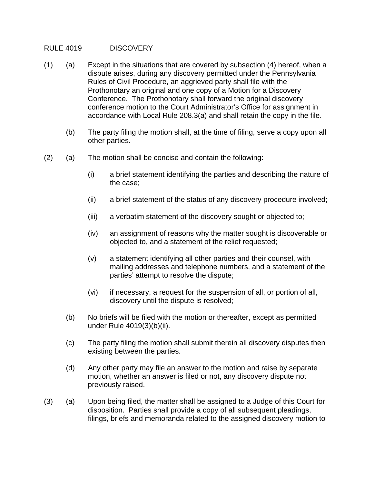## RULE 4019 DISCOVERY

- (1) (a) Except in the situations that are covered by subsection (4) hereof, when a dispute arises, during any discovery permitted under the Pennsylvania Rules of Civil Procedure, an aggrieved party shall file with the Prothonotary an original and one copy of a Motion for a Discovery Conference. The Prothonotary shall forward the original discovery conference motion to the Court Administrator's Office for assignment in accordance with Local Rule 208.3(a) and shall retain the copy in the file.
	- (b) The party filing the motion shall, at the time of filing, serve a copy upon all other parties.
- (2) (a) The motion shall be concise and contain the following:
	- (i) a brief statement identifying the parties and describing the nature of the case;
	- (ii) a brief statement of the status of any discovery procedure involved;
	- (iii) a verbatim statement of the discovery sought or objected to;
	- (iv) an assignment of reasons why the matter sought is discoverable or objected to, and a statement of the relief requested;
	- (v) a statement identifying all other parties and their counsel, with mailing addresses and telephone numbers, and a statement of the parties' attempt to resolve the dispute;
	- (vi) if necessary, a request for the suspension of all, or portion of all, discovery until the dispute is resolved;
	- (b) No briefs will be filed with the motion or thereafter, except as permitted under Rule 4019(3)(b)(ii).
	- (c) The party filing the motion shall submit therein all discovery disputes then existing between the parties.
	- (d) Any other party may file an answer to the motion and raise by separate motion, whether an answer is filed or not, any discovery dispute not previously raised.
- (3) (a) Upon being filed, the matter shall be assigned to a Judge of this Court for disposition. Parties shall provide a copy of all subsequent pleadings, filings, briefs and memoranda related to the assigned discovery motion to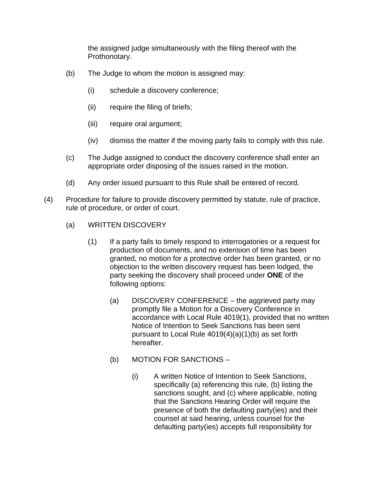the assigned judge simultaneously with the filing thereof with the Prothonotary.

- (b) The Judge to whom the motion is assigned may:
	- (i) schedule a discovery conference;
	- (ii) require the filing of briefs;
	- (iii) require oral argument;
	- (iv) dismiss the matter if the moving party fails to comply with this rule.
- (c) The Judge assigned to conduct the discovery conference shall enter an appropriate order disposing of the issues raised in the motion.
- (d) Any order issued pursuant to this Rule shall be entered of record.
- (4) Procedure for failure to provide discovery permitted by statute, rule of practice, rule of procedure, or order of court.
	- (a) WRITTEN DISCOVERY
		- (1) If a party fails to timely respond to interrogatories or a request for production of documents, and no extension of time has been granted, no motion for a protective order has been granted, or no objection to the written discovery request has been lodged, the party seeking the discovery shall proceed under **ONE** of the following options:
			- (a) DISCOVERY CONFERENCE the aggrieved party may promptly file a Motion for a Discovery Conference in accordance with Local Rule 4019(1), provided that no written Notice of Intention to Seek Sanctions has been sent pursuant to Local Rule 4019(4)(a)(1)(b) as set forth hereafter.
			- (b) MOTION FOR SANCTIONS
				- (i) A written Notice of Intention to Seek Sanctions, specifically (a) referencing this rule, (b) listing the sanctions sought, and (c) where applicable, noting that the Sanctions Hearing Order will require the presence of both the defaulting party(ies) and their counsel at said hearing, unless counsel for the defaulting party(ies) accepts full responsibility for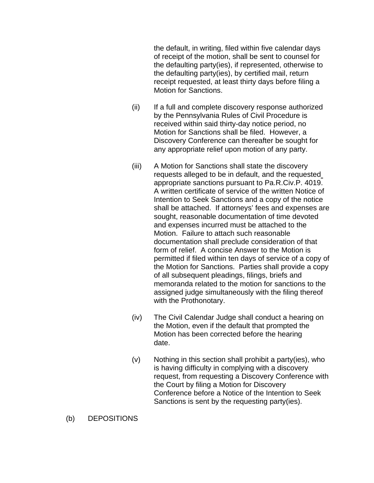the default, in writing, filed within five calendar days of receipt of the motion, shall be sent to counsel for the defaulting party(ies), if represented, otherwise to the defaulting party(ies), by certified mail, return receipt requested, at least thirty days before filing a Motion for Sanctions.

- (ii) If a full and complete discovery response authorized by the Pennsylvania Rules of Civil Procedure is received within said thirty-day notice period, no Motion for Sanctions shall be filed. However, a Discovery Conference can thereafter be sought for any appropriate relief upon motion of any party.
- (iii) A Motion for Sanctions shall state the discovery requests alleged to be in default, and the requested appropriate sanctions pursuant to Pa.R.Civ.P. 4019. A written certificate of service of the written Notice of Intention to Seek Sanctions and a copy of the notice shall be attached. If attorneys' fees and expenses are sought, reasonable documentation of time devoted and expenses incurred must be attached to the Motion. Failure to attach such reasonable documentation shall preclude consideration of that form of relief. A concise Answer to the Motion is permitted if filed within ten days of service of a copy of the Motion for Sanctions. Parties shall provide a copy of all subsequent pleadings, filings, briefs and memoranda related to the motion for sanctions to the assigned judge simultaneously with the filing thereof with the Prothonotary.
- (iv) The Civil Calendar Judge shall conduct a hearing on the Motion, even if the default that prompted the Motion has been corrected before the hearing date.
- $(v)$  Nothing in this section shall prohibit a party(ies), who is having difficulty in complying with a discovery request, from requesting a Discovery Conference with the Court by filing a Motion for Discovery Conference before a Notice of the Intention to Seek Sanctions is sent by the requesting party(ies).
- (b) DEPOSITIONS